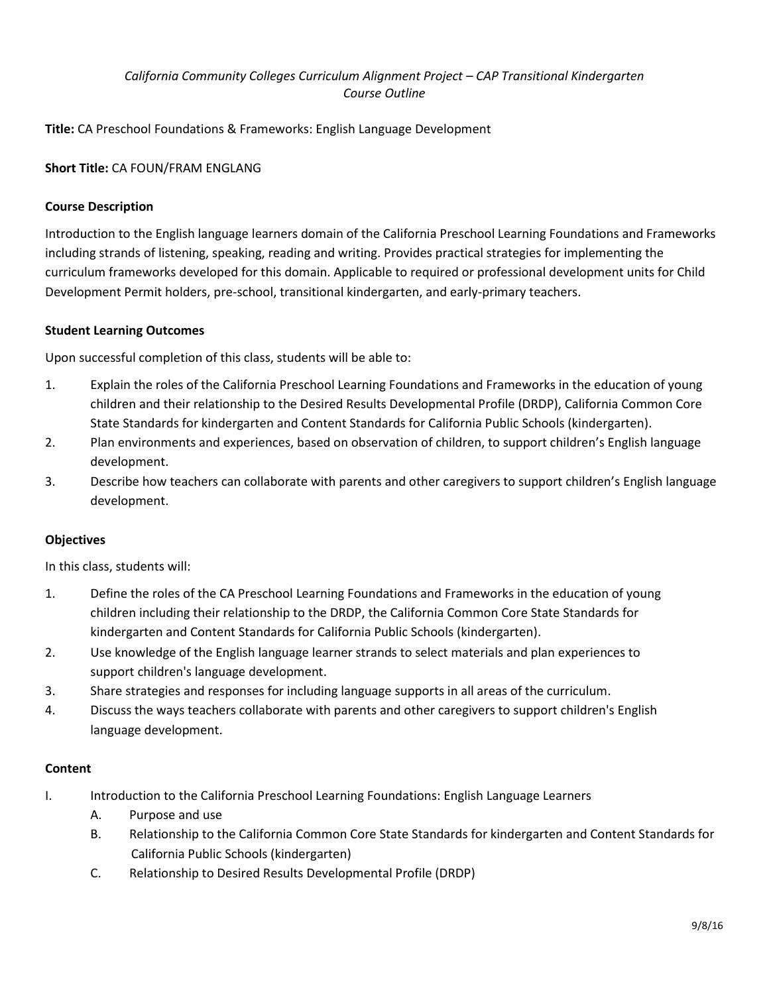# *California Community Colleges Curriculum Alignment Project – CAP Transitional Kindergarten Course Outline*

**Title:** CA Preschool Foundations & Frameworks: English Language Development

# **Short Title:** CA FOUN/FRAM ENGLANG

## **Course Description**

Introduction to the English language learners domain of the California Preschool Learning Foundations and Frameworks including strands of listening, speaking, reading and writing. Provides practical strategies for implementing the curriculum frameworks developed for this domain. Applicable to required or professional development units for Child Development Permit holders, pre-school, transitional kindergarten, and early-primary teachers.

### **Student Learning Outcomes**

Upon successful completion of this class, students will be able to:

- 1. Explain the roles of the California Preschool Learning Foundations and Frameworks in the education of young children and their relationship to the Desired Results Developmental Profile (DRDP), California Common Core State Standards for kindergarten and Content Standards for California Public Schools (kindergarten).
- 2. Plan environments and experiences, based on observation of children, to support children's English language development.
- 3. Describe how teachers can collaborate with parents and other caregivers to support children's English language development.

### **Objectives**

In this class, students will:

- 1. Define the roles of the CA Preschool Learning Foundations and Frameworks in the education of young children including their relationship to the DRDP, the California Common Core State Standards for kindergarten and Content Standards for California Public Schools (kindergarten).
- 2. Use knowledge of the English language learner strands to select materials and plan experiences to support children's language development.
- 3. Share strategies and responses for including language supports in all areas of the curriculum.
- 4. Discuss the ways teachers collaborate with parents and other caregivers to support children's English language development.

#### **Content**

- I. Introduction to the California Preschool Learning Foundations: English Language Learners
	- A. Purpose and use
	- B. Relationship to the California Common Core State Standards for kindergarten and Content Standards for California Public Schools (kindergarten)
	- C. Relationship to Desired Results Developmental Profile (DRDP)